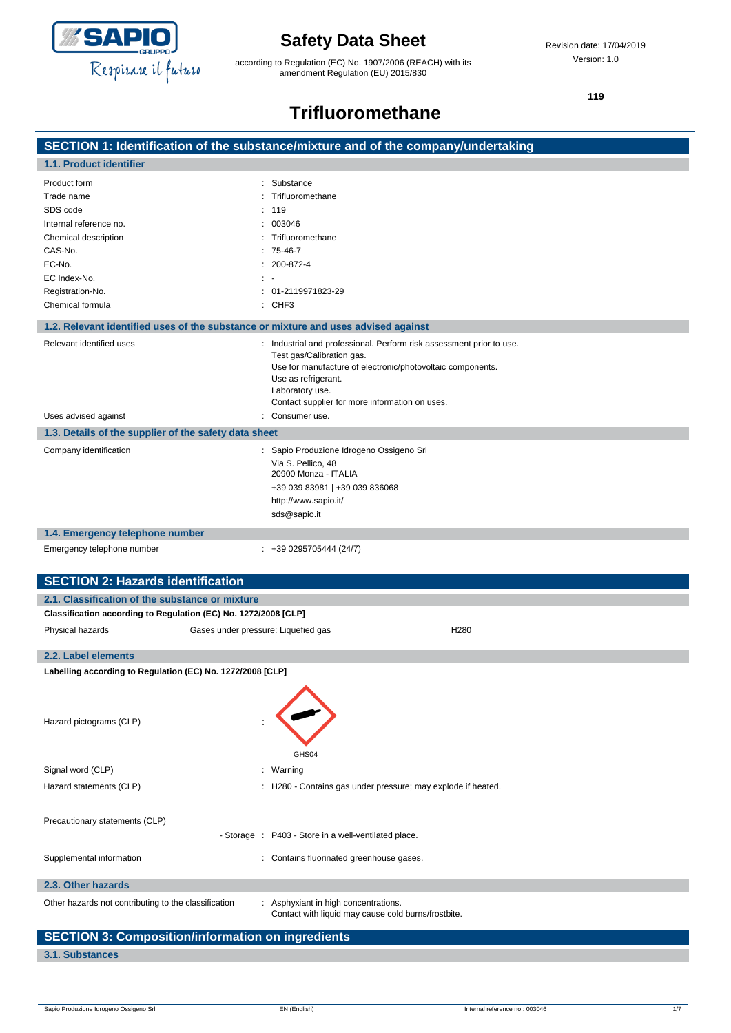

according to Regulation (EC) No. 1907/2006 (REACH) with its amendment Regulation (EU) 2015/830

**119**

# **Trifluoromethane**

|                                                                 | SECTION 1: Identification of the substance/mixture and of the company/undertaking  |
|-----------------------------------------------------------------|------------------------------------------------------------------------------------|
| 1.1. Product identifier                                         |                                                                                    |
| Product form                                                    | Substance                                                                          |
| Trade name                                                      | Trifluoromethane                                                                   |
| SDS code                                                        | 119                                                                                |
| Internal reference no.                                          | 003046                                                                             |
| Chemical description                                            | Trifluoromethane                                                                   |
| CAS-No.                                                         | 75-46-7                                                                            |
| EC-No.                                                          | 200-872-4                                                                          |
| EC Index-No.                                                    | $\mathbb{R}^n$                                                                     |
| Registration-No.                                                | 01-2119971823-29                                                                   |
| Chemical formula                                                | $:$ CHF3                                                                           |
|                                                                 | 1.2. Relevant identified uses of the substance or mixture and uses advised against |
| Relevant identified uses                                        | : Industrial and professional. Perform risk assessment prior to use.               |
|                                                                 | Test gas/Calibration gas.                                                          |
|                                                                 | Use for manufacture of electronic/photovoltaic components.                         |
|                                                                 | Use as refrigerant.<br>Laboratory use.                                             |
|                                                                 | Contact supplier for more information on uses.                                     |
| Uses advised against                                            | Consumer use.                                                                      |
| 1.3. Details of the supplier of the safety data sheet           |                                                                                    |
| Company identification                                          | : Sapio Produzione Idrogeno Ossigeno Srl                                           |
|                                                                 | Via S. Pellico, 48                                                                 |
|                                                                 | 20900 Monza - ITALIA                                                               |
|                                                                 | +39 039 83981   +39 039 836068                                                     |
|                                                                 | http://www.sapio.it/                                                               |
|                                                                 | sds@sapio.it                                                                       |
| 1.4. Emergency telephone number                                 |                                                                                    |
| Emergency telephone number                                      | $: +390295705444(24/7)$                                                            |
|                                                                 |                                                                                    |
| <b>SECTION 2: Hazards identification</b>                        |                                                                                    |
| 2.1. Classification of the substance or mixture                 |                                                                                    |
| Classification according to Regulation (EC) No. 1272/2008 [CLP] |                                                                                    |
| Physical hazards                                                | H <sub>280</sub><br>Gases under pressure: Liquefied gas                            |
|                                                                 |                                                                                    |
| 2.2. Label elements                                             |                                                                                    |
| Labelling according to Regulation (EC) No. 1272/2008 [CLP]      |                                                                                    |
|                                                                 |                                                                                    |
|                                                                 |                                                                                    |
| Hazard pictograms (CLP)                                         |                                                                                    |
|                                                                 |                                                                                    |
|                                                                 |                                                                                    |
|                                                                 | GHS04                                                                              |
| Signal word (CLP)                                               | : Warning                                                                          |
| Hazard statements (CLP)                                         | : H280 - Contains gas under pressure; may explode if heated.                       |
|                                                                 |                                                                                    |
| Precautionary statements (CLP)                                  |                                                                                    |

**2.3. Other hazards**

Other hazards not contributing to the classification : Asphyxiant in high concentrations.

Contact with liquid may cause cold burns/frostbite.

## **SECTION 3: Composition/information on ingredients**

### **3.1. Substances**

- Storage : P403 - Store in a well-ventilated place.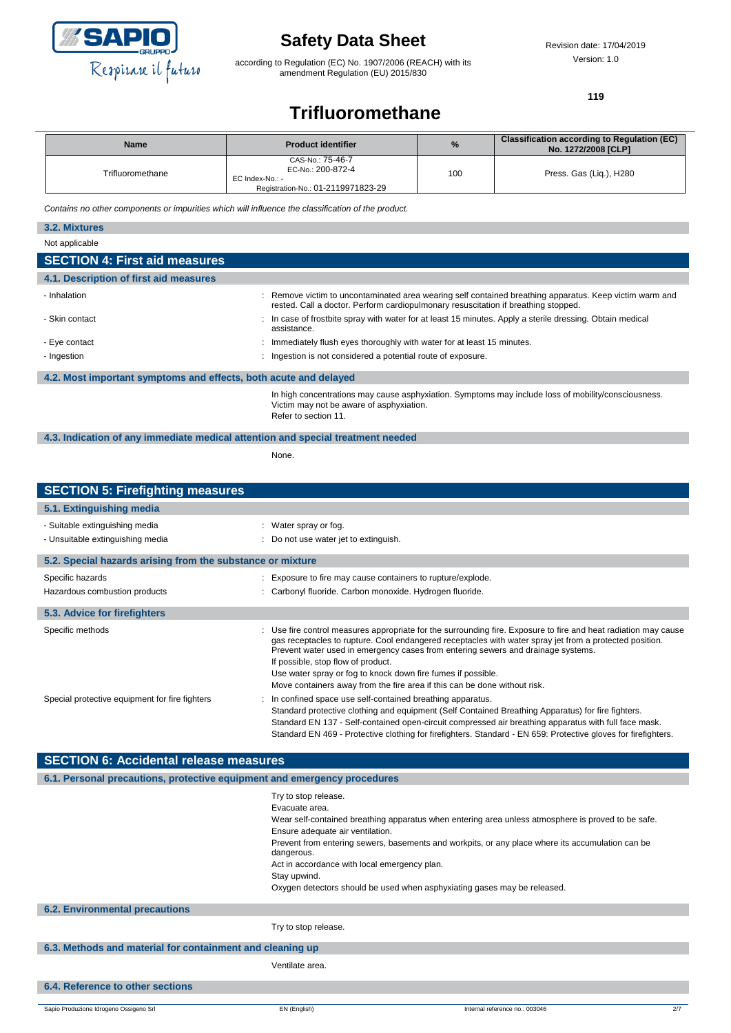

according to Regulation (EC) No. 1907/2006 (REACH) with its amendment Regulation (EU) 2015/830

**119**

## **Trifluoromethane**

| <b>Name</b>      | <b>Product identifier</b>                                                                      | %   | Classification according to Regulation (EC)<br>No. 1272/2008 [CLP] |
|------------------|------------------------------------------------------------------------------------------------|-----|--------------------------------------------------------------------|
| Trifluoromethane | CAS-No.: 75-46-7<br>EC-No.: 200-872-4<br>EC Index-No.: -<br>Registration-No.: 01-2119971823-29 | 100 | Press. Gas (Lig.), H280                                            |

*Contains no other components or impurities which will influence the classification of the product.*

| 3.2. Mixtures                                                                   |                                                                                                                                                                                               |  |
|---------------------------------------------------------------------------------|-----------------------------------------------------------------------------------------------------------------------------------------------------------------------------------------------|--|
| Not applicable                                                                  |                                                                                                                                                                                               |  |
| <b>SECTION 4: First aid measures</b>                                            |                                                                                                                                                                                               |  |
| 4.1. Description of first aid measures                                          |                                                                                                                                                                                               |  |
| - Inhalation                                                                    | : Remove victim to uncontaminated area wearing self contained breathing apparatus. Keep victim warm and<br>rested. Call a doctor. Perform cardiopulmonary resuscitation if breathing stopped. |  |
| - Skin contact                                                                  | : In case of frostbite spray with water for at least 15 minutes. Apply a sterile dressing. Obtain medical<br>assistance.                                                                      |  |
| - Eye contact                                                                   | : Immediately flush eyes thoroughly with water for at least 15 minutes.                                                                                                                       |  |
| - Ingestion                                                                     | : Ingestion is not considered a potential route of exposure.                                                                                                                                  |  |
| 4.2. Most important symptoms and effects, both acute and delayed                |                                                                                                                                                                                               |  |
|                                                                                 | In high concentrations may cause asphyxiation. Symptoms may include loss of mobility/consciousness.<br>Victim may not be aware of asphyxiation.<br>Refer to section 11.                       |  |
| 4.3. Indication of any immediate medical attention and special treatment needed |                                                                                                                                                                                               |  |

None.

| <b>SECTION 5: Firefighting measures</b>                            |                                                                                                                                                                                                                                                                                                                                                                                                                                                                                                   |
|--------------------------------------------------------------------|---------------------------------------------------------------------------------------------------------------------------------------------------------------------------------------------------------------------------------------------------------------------------------------------------------------------------------------------------------------------------------------------------------------------------------------------------------------------------------------------------|
| 5.1. Extinguishing media                                           |                                                                                                                                                                                                                                                                                                                                                                                                                                                                                                   |
| - Suitable extinguishing media<br>- Unsuitable extinguishing media | : Water spray or fog.<br>: Do not use water jet to extinguish.                                                                                                                                                                                                                                                                                                                                                                                                                                    |
| 5.2. Special hazards arising from the substance or mixture         |                                                                                                                                                                                                                                                                                                                                                                                                                                                                                                   |
| Specific hazards<br>Hazardous combustion products                  | : Exposure to fire may cause containers to rupture/explode.<br>: Carbonyl fluoride. Carbon monoxide. Hydrogen fluoride.                                                                                                                                                                                                                                                                                                                                                                           |
| 5.3. Advice for firefighters                                       |                                                                                                                                                                                                                                                                                                                                                                                                                                                                                                   |
| Specific methods                                                   | : Use fire control measures appropriate for the surrounding fire. Exposure to fire and heat radiation may cause<br>gas receptacles to rupture. Cool endangered receptacles with water spray jet from a protected position.<br>Prevent water used in emergency cases from entering sewers and drainage systems.<br>If possible, stop flow of product.<br>Use water spray or fog to knock down fire fumes if possible.<br>Move containers away from the fire area if this can be done without risk. |
| Special protective equipment for fire fighters                     | : In confined space use self-contained breathing apparatus.<br>Standard protective clothing and equipment (Self Contained Breathing Apparatus) for fire fighters.<br>Standard EN 137 - Self-contained open-circuit compressed air breathing apparatus with full face mask.<br>Standard EN 469 - Protective clothing for firefighters. Standard - EN 659: Protective gloves for firefighters.                                                                                                      |

| <b>SECTION 6: Accidental release measures</b>                            |                                                                                                                                                                                                                                                                                                                                                                                                                                                |  |
|--------------------------------------------------------------------------|------------------------------------------------------------------------------------------------------------------------------------------------------------------------------------------------------------------------------------------------------------------------------------------------------------------------------------------------------------------------------------------------------------------------------------------------|--|
| 6.1. Personal precautions, protective equipment and emergency procedures |                                                                                                                                                                                                                                                                                                                                                                                                                                                |  |
|                                                                          | Try to stop release.<br>Evacuate area.<br>Wear self-contained breathing apparatus when entering area unless atmosphere is proved to be safe.<br>Ensure adequate air ventilation.<br>Prevent from entering sewers, basements and workpits, or any place where its accumulation can be<br>dangerous.<br>Act in accordance with local emergency plan.<br>Stay upwind.<br>Oxygen detectors should be used when asphyxiating gases may be released. |  |
| <b>6.2. Environmental precautions</b>                                    |                                                                                                                                                                                                                                                                                                                                                                                                                                                |  |
|                                                                          | Try to stop release.                                                                                                                                                                                                                                                                                                                                                                                                                           |  |
| 6.3. Methods and material for containment and cleaning up                |                                                                                                                                                                                                                                                                                                                                                                                                                                                |  |
|                                                                          | Ventilate area.                                                                                                                                                                                                                                                                                                                                                                                                                                |  |
| 6.4. Reference to other sections                                         |                                                                                                                                                                                                                                                                                                                                                                                                                                                |  |
|                                                                          |                                                                                                                                                                                                                                                                                                                                                                                                                                                |  |

Sapio Produzione Idrogeno Ossigeno Srl **EN (English)** Internal reference no.: 003046 2/7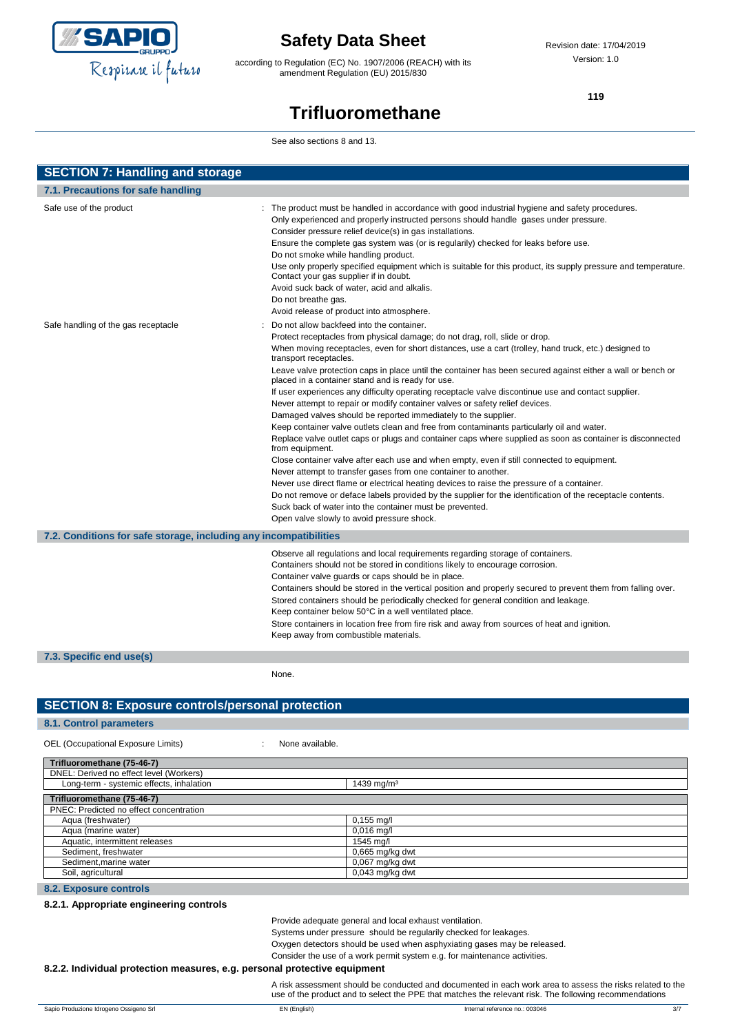

according to Regulation (EC) No. 1907/2006 (REACH) with its amendment Regulation (EU) 2015/830

**119**

# **Trifluoromethane**

See also sections 8 and 13.

| <b>SECTION 7: Handling and storage</b>                            |                                                                                                                                                                                                                                                                                                                                                                                                                                                                                                                                                                                                                                                                                                                                                                                                                                                                                                                                                                                                                                                                                                                                                                                                                                                                                                                                                                                                             |  |  |
|-------------------------------------------------------------------|-------------------------------------------------------------------------------------------------------------------------------------------------------------------------------------------------------------------------------------------------------------------------------------------------------------------------------------------------------------------------------------------------------------------------------------------------------------------------------------------------------------------------------------------------------------------------------------------------------------------------------------------------------------------------------------------------------------------------------------------------------------------------------------------------------------------------------------------------------------------------------------------------------------------------------------------------------------------------------------------------------------------------------------------------------------------------------------------------------------------------------------------------------------------------------------------------------------------------------------------------------------------------------------------------------------------------------------------------------------------------------------------------------------|--|--|
| 7.1. Precautions for safe handling                                |                                                                                                                                                                                                                                                                                                                                                                                                                                                                                                                                                                                                                                                                                                                                                                                                                                                                                                                                                                                                                                                                                                                                                                                                                                                                                                                                                                                                             |  |  |
| Safe use of the product                                           | : The product must be handled in accordance with good industrial hygiene and safety procedures.<br>Only experienced and properly instructed persons should handle gases under pressure.<br>Consider pressure relief device(s) in gas installations.<br>Ensure the complete gas system was (or is regularily) checked for leaks before use.<br>Do not smoke while handling product.<br>Use only properly specified equipment which is suitable for this product, its supply pressure and temperature.<br>Contact your gas supplier if in doubt.<br>Avoid suck back of water, acid and alkalis.<br>Do not breathe gas.<br>Avoid release of product into atmosphere.                                                                                                                                                                                                                                                                                                                                                                                                                                                                                                                                                                                                                                                                                                                                           |  |  |
| Safe handling of the gas receptacle                               | Do not allow backfeed into the container.<br>Protect receptacles from physical damage; do not drag, roll, slide or drop.<br>When moving receptacles, even for short distances, use a cart (trolley, hand truck, etc.) designed to<br>transport receptacles.<br>Leave valve protection caps in place until the container has been secured against either a wall or bench or<br>placed in a container stand and is ready for use.<br>If user experiences any difficulty operating receptacle valve discontinue use and contact supplier.<br>Never attempt to repair or modify container valves or safety relief devices.<br>Damaged valves should be reported immediately to the supplier.<br>Keep container valve outlets clean and free from contaminants particularly oil and water.<br>Replace valve outlet caps or plugs and container caps where supplied as soon as container is disconnected<br>from equipment.<br>Close container valve after each use and when empty, even if still connected to equipment.<br>Never attempt to transfer gases from one container to another.<br>Never use direct flame or electrical heating devices to raise the pressure of a container.<br>Do not remove or deface labels provided by the supplier for the identification of the receptacle contents.<br>Suck back of water into the container must be prevented.<br>Open valve slowly to avoid pressure shock. |  |  |
| 7.2. Conditions for safe storage, including any incompatibilities |                                                                                                                                                                                                                                                                                                                                                                                                                                                                                                                                                                                                                                                                                                                                                                                                                                                                                                                                                                                                                                                                                                                                                                                                                                                                                                                                                                                                             |  |  |
| 7.3 Specific and usale)                                           | Observe all regulations and local requirements regarding storage of containers.<br>Containers should not be stored in conditions likely to encourage corrosion.<br>Container valve guards or caps should be in place.<br>Containers should be stored in the vertical position and properly secured to prevent them from falling over.<br>Stored containers should be periodically checked for general condition and leakage.<br>Keep container below 50°C in a well ventilated place.<br>Store containers in location free from fire risk and away from sources of heat and ignition.<br>Keep away from combustible materials.                                                                                                                                                                                                                                                                                                                                                                                                                                                                                                                                                                                                                                                                                                                                                                              |  |  |

**7.3. Specific end use(s)**

None.

### **SECTION 8: Exposure controls/personal protection**

### **8.1. Control parameters**

OEL (Occupational Exposure Limits) : None available.

| Trifluoromethane (75-46-7)               |                        |  |
|------------------------------------------|------------------------|--|
| DNEL: Derived no effect level (Workers)  |                        |  |
| Long-term - systemic effects, inhalation | 1439 mg/m <sup>3</sup> |  |
| Trifluoromethane (75-46-7)               |                        |  |
| PNEC: Predicted no effect concentration  |                        |  |
| Aqua (freshwater)                        | $0,155 \text{ mq/l}$   |  |
| Aqua (marine water)                      | $0,016$ mg/l           |  |
| Aquatic, intermittent releases           | 1545 ma/l              |  |
| Sediment, freshwater                     | $0.665$ mg/kg dwt      |  |
| Sediment, marine water                   | $0.067$ mg/kg dwt      |  |
| Soil, agricultural                       | $0.043$ mg/kg dwt      |  |

#### **8.2. Exposure controls**

#### **8.2.1. Appropriate engineering controls**

Provide adequate general and local exhaust ventilation.

Systems under pressure should be regularily checked for leakages.

Oxygen detectors should be used when asphyxiating gases may be released.

Consider the use of a work permit system e.g. for maintenance activities.

#### **8.2.2. Individual protection measures, e.g. personal protective equipment**

A risk assessment should be conducted and documented in each work area to assess the risks related to the use of the product and to select the PPE that matches the relevant risk. The following recommendations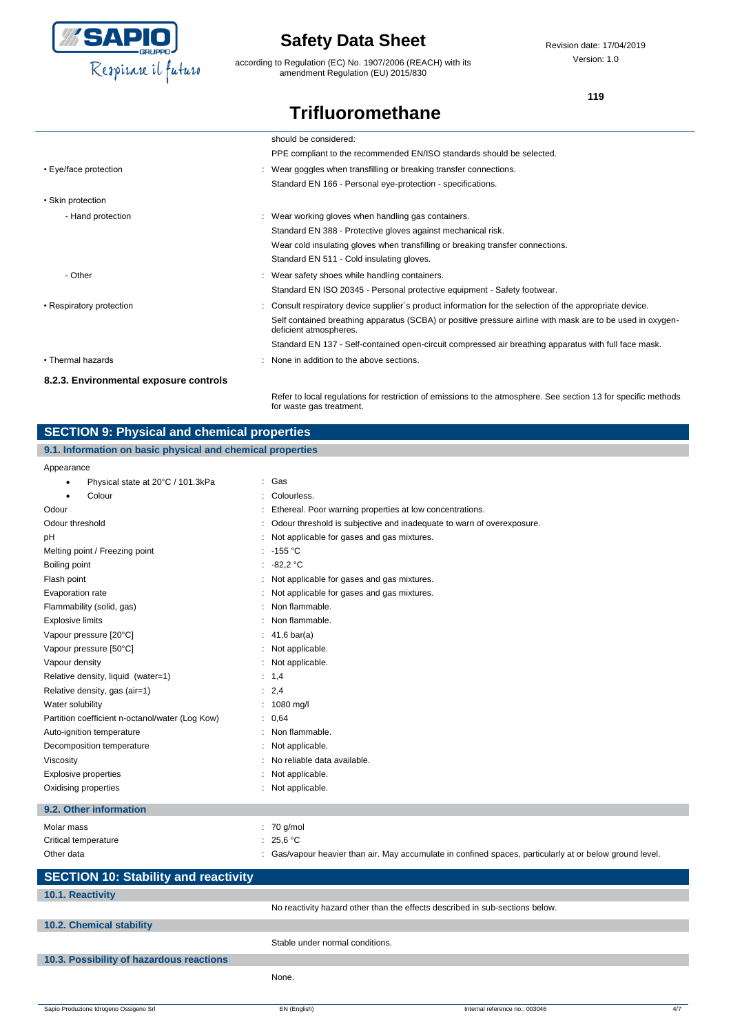

according to Regulation (EC) No. 1907/2006 (REACH) with its amendment Regulation (EU) 2015/830

Revision date: 17/04/2019 Version: 1.0

**119**

## **Trifluoromethane**

|                                        | should be considered:                                                                                                                      |
|----------------------------------------|--------------------------------------------------------------------------------------------------------------------------------------------|
|                                        | PPE compliant to the recommended EN/ISO standards should be selected.                                                                      |
| • Eye/face protection                  | : Wear goggles when transfilling or breaking transfer connections.                                                                         |
|                                        | Standard EN 166 - Personal eye-protection - specifications.                                                                                |
| • Skin protection                      |                                                                                                                                            |
| - Hand protection                      | : Wear working gloves when handling gas containers.                                                                                        |
|                                        | Standard EN 388 - Protective gloves against mechanical risk.                                                                               |
|                                        | Wear cold insulating gloves when transfilling or breaking transfer connections.                                                            |
|                                        | Standard EN 511 - Cold insulating gloves.                                                                                                  |
| - Other                                | : Wear safety shoes while handling containers.                                                                                             |
|                                        | Standard EN ISO 20345 - Personal protective equipment - Safety footwear.                                                                   |
| • Respiratory protection               | : Consult respiratory device supplier's product information for the selection of the appropriate device.                                   |
|                                        | Self contained breathing apparatus (SCBA) or positive pressure airline with mask are to be used in oxygen-<br>deficient atmospheres.       |
|                                        | Standard EN 137 - Self-contained open-circuit compressed air breathing apparatus with full face mask.                                      |
| • Thermal hazards                      | : None in addition to the above sections.                                                                                                  |
| 8.2.3. Environmental exposure controls |                                                                                                                                            |
|                                        | Refer to local requlations for restriction of emissions to the atmosphere. See section 13 for specific methods<br>for waste gas treatment. |

## **SECTION 9: Physical and chemical properties**

### **9.1. Information on basic physical and chemical properties**

#### Appearance

| Physical state at 20°C / 101.3kPa<br>$\bullet$  | : Gas                                                                                                    |
|-------------------------------------------------|----------------------------------------------------------------------------------------------------------|
| Colour                                          | Colourless.                                                                                              |
| Odour                                           | Ethereal. Poor warning properties at low concentrations.                                                 |
| Odour threshold                                 | Odour threshold is subjective and inadequate to warn of overexposure.                                    |
| рH                                              | Not applicable for gases and gas mixtures.                                                               |
| Melting point / Freezing point                  | $-155 °C$                                                                                                |
| Boiling point                                   | : $-82.2$ °C                                                                                             |
| Flash point                                     | Not applicable for gases and gas mixtures.                                                               |
| Evaporation rate                                | Not applicable for gases and gas mixtures.                                                               |
| Flammability (solid, gas)                       | Non flammable.                                                                                           |
| <b>Explosive limits</b>                         | Non flammable.                                                                                           |
| Vapour pressure [20°C]                          | $41,6 \text{ bar(a)}$                                                                                    |
| Vapour pressure [50°C]                          | Not applicable.                                                                                          |
| Vapour density                                  | Not applicable.                                                                                          |
| Relative density, liquid (water=1)              | : 1,4                                                                                                    |
| Relative density, gas (air=1)                   | : 2,4                                                                                                    |
| Water solubility                                | 1080 mg/l                                                                                                |
| Partition coefficient n-octanol/water (Log Kow) | : 0,64                                                                                                   |
| Auto-ignition temperature                       | Non flammable.                                                                                           |
| Decomposition temperature                       | Not applicable.                                                                                          |
| Viscosity                                       | No reliable data available.                                                                              |
| <b>Explosive properties</b>                     | Not applicable.                                                                                          |
| Oxidising properties                            | : Not applicable.                                                                                        |
| 9.2. Other information                          |                                                                                                          |
| Molar mass                                      | $: 70$ g/mol                                                                                             |
| Critical temperature                            | 25,6 °C                                                                                                  |
| Other data                                      | : Gas/vapour heavier than air. May accumulate in confined spaces, particularly at or below ground level. |
| <b>SECTION 10: Stability and reactivity</b>     |                                                                                                          |
| 10.1. Reactivity                                |                                                                                                          |
|                                                 |                                                                                                          |

## No reactivity hazard other than the effects described in sub-sections below. **10.2. Chemical stability** Stable under normal conditions. **10.3. Possibility of hazardous reactions** None.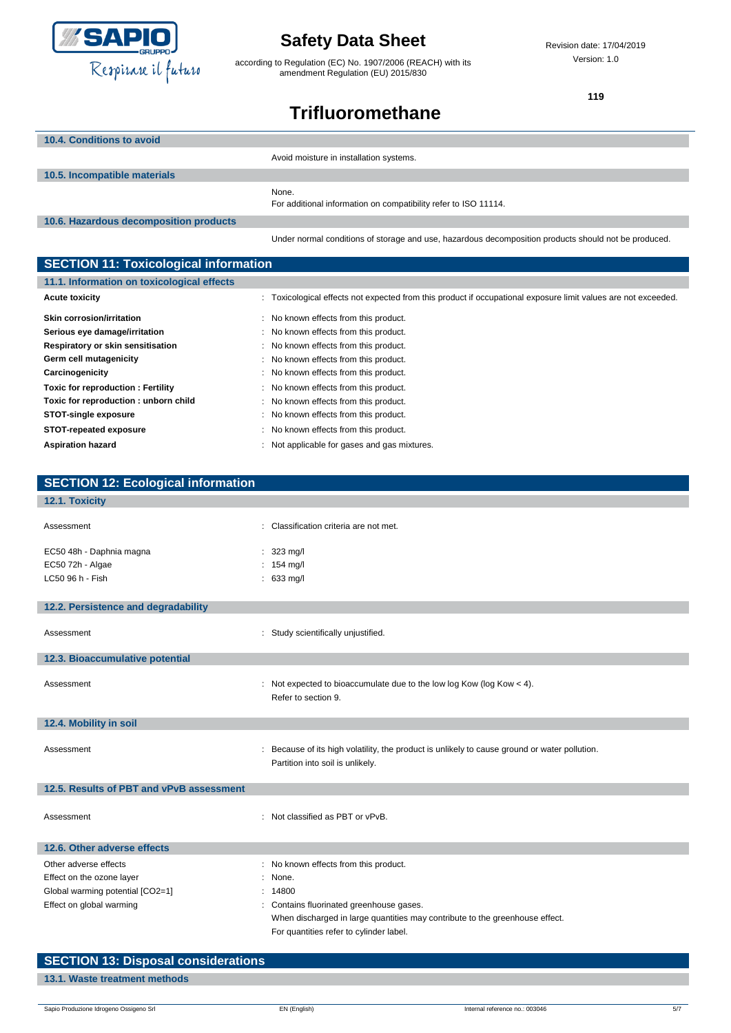

according to Regulation (EC) No. 1907/2006 (REACH) with its amendment Regulation (EU) 2015/830

Revision date: 17/04/2019 Version: 1.0

**119**

# **Trifluoromethane**

| 10.4. Conditions to avoid              |                                                                                                      |
|----------------------------------------|------------------------------------------------------------------------------------------------------|
|                                        | Avoid moisture in installation systems.                                                              |
| 10.5. Incompatible materials           |                                                                                                      |
|                                        | None.<br>For additional information on compatibility refer to ISO 11114.                             |
| 10.6. Hazardous decomposition products |                                                                                                      |
|                                        | Under normal conditions of storage and use, hazardous decomposition products should not be produced. |

| <b>SECTION 11: Toxicological information</b> |                                                                                                                |  |  |
|----------------------------------------------|----------------------------------------------------------------------------------------------------------------|--|--|
| 11.1. Information on toxicological effects   |                                                                                                                |  |  |
| <b>Acute toxicity</b>                        | : Toxicological effects not expected from this product if occupational exposure limit values are not exceeded. |  |  |
| <b>Skin corrosion/irritation</b>             | : No known effects from this product.                                                                          |  |  |
| Serious eye damage/irritation                | : No known effects from this product.                                                                          |  |  |
| Respiratory or skin sensitisation            | : No known effects from this product.                                                                          |  |  |
| Germ cell mutagenicity                       | : No known effects from this product.                                                                          |  |  |
| Carcinogenicity                              | : No known effects from this product.                                                                          |  |  |
| Toxic for reproduction: Fertility            | : No known effects from this product.                                                                          |  |  |
| Toxic for reproduction: unborn child         | : No known effects from this product.                                                                          |  |  |
| STOT-single exposure                         | : No known effects from this product.                                                                          |  |  |
| STOT-repeated exposure                       | : No known effects from this product.                                                                          |  |  |
| <b>Aspiration hazard</b>                     | : Not applicable for gases and gas mixtures.                                                                   |  |  |

| <b>SECTION 12: Ecological information</b> |                                                                                                                                   |
|-------------------------------------------|-----------------------------------------------------------------------------------------------------------------------------------|
| 12.1. Toxicity                            |                                                                                                                                   |
| Assessment                                | : Classification criteria are not met.                                                                                            |
| EC50 48h - Daphnia magna                  | $: 323 \text{ mg/l}$                                                                                                              |
| EC50 72h - Algae                          | : $154 \text{ mg/l}$                                                                                                              |
| LC50 96 h - Fish                          | $: 633$ mg/l                                                                                                                      |
| 12.2. Persistence and degradability       |                                                                                                                                   |
| Assessment                                | : Study scientifically unjustified.                                                                                               |
| 12.3. Bioaccumulative potential           |                                                                                                                                   |
| Assessment                                | : Not expected to bioaccumulate due to the low log Kow (log Kow $<$ 4).<br>Refer to section 9.                                    |
| 12.4. Mobility in soil                    |                                                                                                                                   |
| Assessment                                | : Because of its high volatility, the product is unlikely to cause ground or water pollution.<br>Partition into soil is unlikely. |
| 12.5. Results of PBT and vPvB assessment  |                                                                                                                                   |
| Assessment                                | : Not classified as PBT or vPvB.                                                                                                  |
| 12.6. Other adverse effects               |                                                                                                                                   |
| Other adverse effects                     | No known effects from this product.                                                                                               |
| Effect on the ozone layer                 | None.                                                                                                                             |
| Global warming potential [CO2=1]          | : 14800                                                                                                                           |
| Effect on global warming                  | Contains fluorinated greenhouse gases.                                                                                            |
|                                           | When discharged in large quantities may contribute to the greenhouse effect.                                                      |
|                                           | For quantities refer to cylinder label.                                                                                           |

| <b>SECTION 13: Disposal considerations</b> |  |
|--------------------------------------------|--|
| 13.1. Waste treatment methods              |  |
|                                            |  |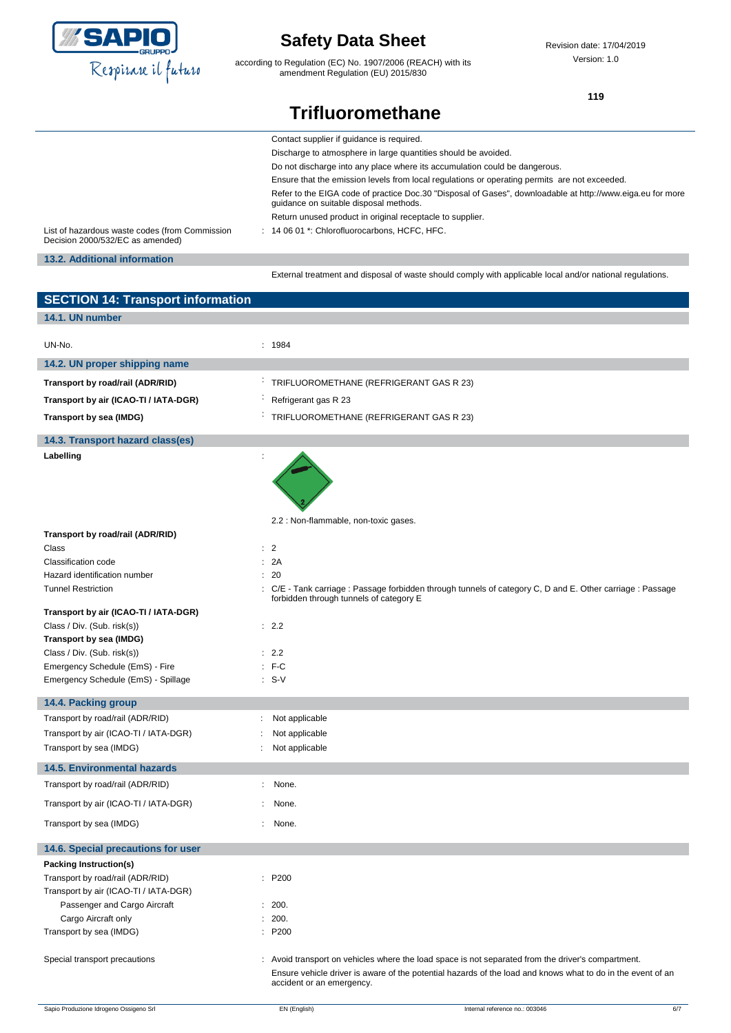

according to Regulation (EC) No. 1907/2006 (REACH) with its amendment Regulation (EU) 2015/830

Revision date: 17/04/2019 Version: 1.0

**119**

# **Trifluoromethane**

|                                                                                    | Contact supplier if quidance is required.                                                                                                            |
|------------------------------------------------------------------------------------|------------------------------------------------------------------------------------------------------------------------------------------------------|
|                                                                                    | Discharge to atmosphere in large quantities should be avoided.                                                                                       |
|                                                                                    | Do not discharge into any place where its accumulation could be dangerous.                                                                           |
|                                                                                    | Ensure that the emission levels from local regulations or operating permits are not exceeded.                                                        |
|                                                                                    | Refer to the EIGA code of practice Doc.30 "Disposal of Gases", downloadable at http://www.eiga.eu for more<br>quidance on suitable disposal methods. |
|                                                                                    | Return unused product in original receptacle to supplier.                                                                                            |
| List of hazardous waste codes (from Commission<br>Decision 2000/532/EC as amended) | $: 140601$ *: Chlorofluorocarbons. HCFC. HFC.                                                                                                        |
| 13.2. Additional information                                                       |                                                                                                                                                      |
|                                                                                    | External treatment and disposal of waste should comply with applicable local and/or national requlations.                                            |
| <b>SECTION 14: Transport information</b>                                           |                                                                                                                                                      |

| 14.1. UN number                        |                                               |                                                                                                                                                                                                                   |
|----------------------------------------|-----------------------------------------------|-------------------------------------------------------------------------------------------------------------------------------------------------------------------------------------------------------------------|
| UN-No.                                 | : 1984                                        |                                                                                                                                                                                                                   |
| 14.2. UN proper shipping name          |                                               |                                                                                                                                                                                                                   |
|                                        |                                               |                                                                                                                                                                                                                   |
| Transport by road/rail (ADR/RID)       | TRIFLUOROMETHANE (REFRIGERANT GAS R 23)<br>÷, |                                                                                                                                                                                                                   |
| Transport by air (ICAO-TI / IATA-DGR)  | ÷<br>Refrigerant gas R 23                     |                                                                                                                                                                                                                   |
| Transport by sea (IMDG)                | TRIFLUOROMETHANE (REFRIGERANT GAS R 23)       |                                                                                                                                                                                                                   |
| 14.3. Transport hazard class(es)       |                                               |                                                                                                                                                                                                                   |
| Labelling                              |                                               |                                                                                                                                                                                                                   |
|                                        |                                               |                                                                                                                                                                                                                   |
|                                        | 2.2 : Non-flammable, non-toxic gases.         |                                                                                                                                                                                                                   |
| Transport by road/rail (ADR/RID)       |                                               |                                                                                                                                                                                                                   |
| Class<br>Classification code           | : 2<br>: 2A                                   |                                                                                                                                                                                                                   |
| Hazard identification number           | : 20                                          |                                                                                                                                                                                                                   |
| <b>Tunnel Restriction</b>              |                                               | : C/E - Tank carriage : Passage forbidden through tunnels of category C, D and E. Other carriage : Passage                                                                                                        |
| Transport by air (ICAO-TI / IATA-DGR)  | forbidden through tunnels of category E       |                                                                                                                                                                                                                   |
| Class / Div. (Sub. risk(s))            | : 2.2                                         |                                                                                                                                                                                                                   |
| Transport by sea (IMDG)                |                                               |                                                                                                                                                                                                                   |
| Class / Div. (Sub. risk(s))            | : 2.2                                         |                                                                                                                                                                                                                   |
| Emergency Schedule (EmS) - Fire        | $: F-C$                                       |                                                                                                                                                                                                                   |
| Emergency Schedule (EmS) - Spillage    | $: S-V$                                       |                                                                                                                                                                                                                   |
| 14.4. Packing group                    |                                               |                                                                                                                                                                                                                   |
| Transport by road/rail (ADR/RID)       | Not applicable                                |                                                                                                                                                                                                                   |
| Transport by air (ICAO-TI / IATA-DGR)  | Not applicable                                |                                                                                                                                                                                                                   |
| Transport by sea (IMDG)                | Not applicable                                |                                                                                                                                                                                                                   |
| <b>14.5. Environmental hazards</b>     |                                               |                                                                                                                                                                                                                   |
| Transport by road/rail (ADR/RID)       | None.<br>÷.                                   |                                                                                                                                                                                                                   |
| Transport by air (ICAO-TI / IATA-DGR)  | None.                                         |                                                                                                                                                                                                                   |
| Transport by sea (IMDG)                | None.                                         |                                                                                                                                                                                                                   |
| 14.6. Special precautions for user     |                                               |                                                                                                                                                                                                                   |
| Packing Instruction(s)                 |                                               |                                                                                                                                                                                                                   |
| Transport by road/rail (ADR/RID)       | : P200                                        |                                                                                                                                                                                                                   |
| Transport by air (ICAO-TI / IATA-DGR)  |                                               |                                                                                                                                                                                                                   |
| Passenger and Cargo Aircraft           | : 200.                                        |                                                                                                                                                                                                                   |
| Cargo Aircraft only                    | : 200.                                        |                                                                                                                                                                                                                   |
| Transport by sea (IMDG)                | : P200                                        |                                                                                                                                                                                                                   |
| Special transport precautions          | accident or an emergency.                     | : Avoid transport on vehicles where the load space is not separated from the driver's compartment.<br>Ensure vehicle driver is aware of the potential hazards of the load and knows what to do in the event of an |
| Sapio Produzione Idrogeno Ossigeno Srl | EN (English)                                  | Internal reference no.: 003046<br>6/7                                                                                                                                                                             |